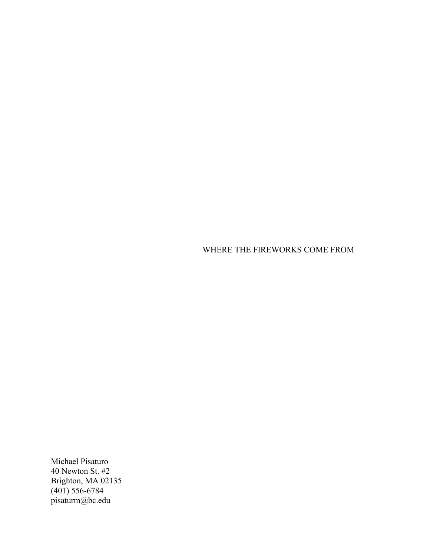WHERE THE FIREWORKS COME FROM

Michael Pisaturo 40 Newton St. #2 Brighton, MA 02135 (401) 556-6784 pisaturm@bc.edu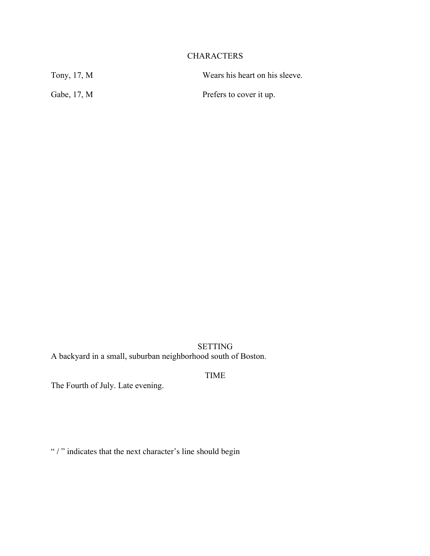# CHARACTERS

| Tony, 17, M | Wears his heart on his sleeve. |
|-------------|--------------------------------|
| Gabe, 17, M | Prefers to cover it up.        |

SETTING A backyard in a small, suburban neighborhood south of Boston.

TIME

The Fourth of July. Late evening.

" / " indicates that the next character's line should begin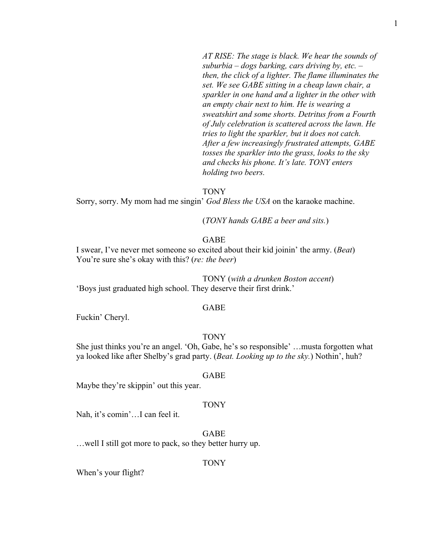*AT RISE: The stage is black. We hear the sounds of suburbia – dogs barking, cars driving by, etc. – then, the click of a lighter. The flame illuminates the set. We see GABE sitting in a cheap lawn chair, a sparkler in one hand and a lighter in the other with an empty chair next to him. He is wearing a sweatshirt and some shorts. Detritus from a Fourth of July celebration is scattered across the lawn. He tries to light the sparkler, but it does not catch. After a few increasingly frustrated attempts, GABE tosses the sparkler into the grass, looks to the sky and checks his phone. It's late. TONY enters holding two beers.*

#### TONY

Sorry, sorry. My mom had me singin' *God Bless the USA* on the karaoke machine.

(*TONY hands GABE a beer and sits.*)

#### GABE

I swear, I've never met someone so excited about their kid joinin' the army. (*Beat*) You're sure she's okay with this? (*re: the beer*)

TONY (*with a drunken Boston accent*) 'Boys just graduated high school. They deserve their first drink.'

#### GABE

Fuckin' Cheryl.

## **TONY**

She just thinks you're an angel. 'Oh, Gabe, he's so responsible' …musta forgotten what ya looked like after Shelby's grad party. (*Beat. Looking up to the sky.*) Nothin', huh?

#### GABE

Maybe they're skippin' out this year.

#### TONY

Nah, it's comin'…I can feel it.

# GABE

…well I still got more to pack, so they better hurry up.

#### TONY

When's your flight?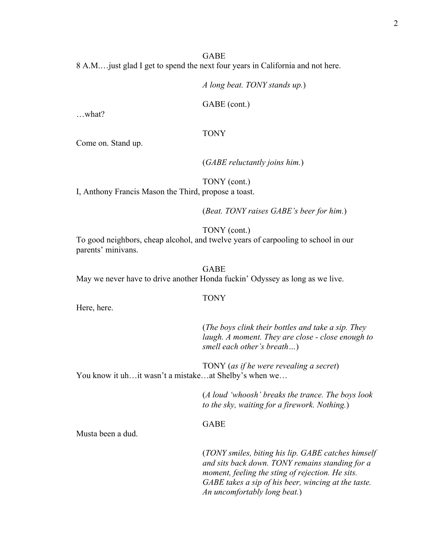## GABE

8 A.M.…just glad I get to spend the next four years in California and not here.

*A long beat. TONY stands up.*)

GABE (cont.)

…what?

#### TONY

Come on. Stand up.

(*GABE reluctantly joins him.*)

TONY (cont.)

I, Anthony Francis Mason the Third, propose a toast.

(*Beat. TONY raises GABE's beer for him.*)

TONY (cont.)

To good neighbors, cheap alcohol, and twelve years of carpooling to school in our parents' minivans.

GABE

May we never have to drive another Honda fuckin' Odyssey as long as we live.

## TONY

Here, here.

(*The boys clink their bottles and take a sip. They laugh. A moment. They are close - close enough to smell each other's breath…*)

TONY (*as if he were revealing a secret*) You know it uh…it wasn't a mistake…at Shelby's when we…

> (*A loud 'whoosh' breaks the trance. The boys look to the sky, waiting for a firework. Nothing.*)

## GABE

Musta been a dud.

(*TONY smiles, biting his lip. GABE catches himself and sits back down. TONY remains standing for a moment, feeling the sting of rejection. He sits. GABE takes a sip of his beer, wincing at the taste. An uncomfortably long beat.*)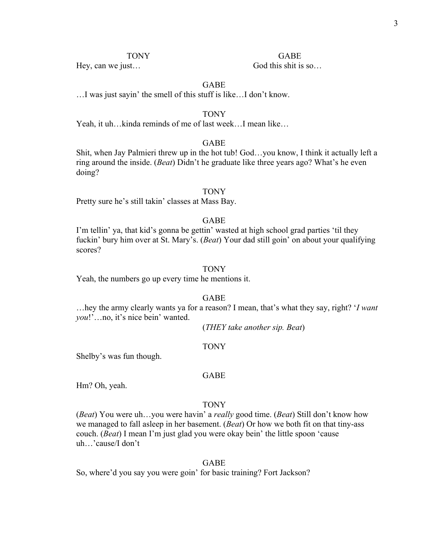Hey, can we just...

TONY GABE

# GABE

…I was just sayin' the smell of this stuff is like…I don't know.

#### TONY

Yeah, it uh…kinda reminds of me of last week…I mean like…

## GABE

Shit, when Jay Palmieri threw up in the hot tub! God…you know, I think it actually left a ring around the inside. (*Beat*) Didn't he graduate like three years ago? What's he even doing?

#### TONY

Pretty sure he's still takin' classes at Mass Bay.

## GABE

I'm tellin' ya, that kid's gonna be gettin' wasted at high school grad parties 'til they fuckin' bury him over at St. Mary's. (*Beat*) Your dad still goin' on about your qualifying scores?

## **TONY**

Yeah, the numbers go up every time he mentions it.

#### GABE

…hey the army clearly wants ya for a reason? I mean, that's what they say, right? '*I want you*!'…no, it's nice bein' wanted.

(*THEY take another sip. Beat*)

## TONY

Shelby's was fun though.

#### GABE

Hm? Oh, yeah.

#### TONY

(*Beat*) You were uh…you were havin' a *really* good time. (*Beat*) Still don't know how we managed to fall asleep in her basement. (*Beat*) Or how we both fit on that tiny-ass couch. (*Beat*) I mean I'm just glad you were okay bein' the little spoon 'cause uh…'cause/I don't

#### GABE

So, where'd you say you were goin' for basic training? Fort Jackson?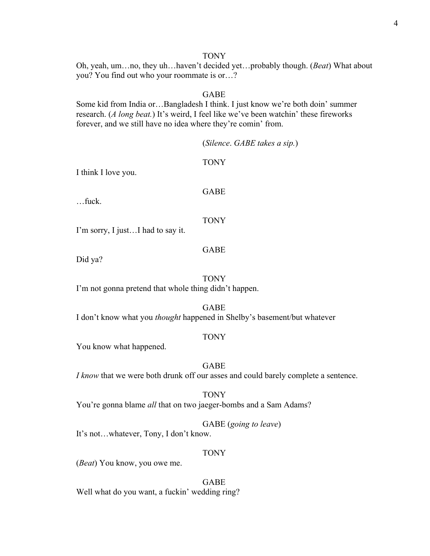#### TONY

Oh, yeah, um…no, they uh…haven't decided yet…probably though. (*Beat*) What about you? You find out who your roommate is or…?

# GABE

Some kid from India or…Bangladesh I think. I just know we're both doin' summer research. (*A long beat.*) It's weird, I feel like we've been watchin' these fireworks forever, and we still have no idea where they're comin' from.

|                                                       | (Silence. GABE takes a sip.)                                                                   |
|-------------------------------------------------------|------------------------------------------------------------------------------------------------|
| I think I love you.                                   | <b>TONY</b>                                                                                    |
| $$ fuck.                                              | <b>GABE</b>                                                                                    |
| I'm sorry, I justI had to say it.                     | <b>TONY</b>                                                                                    |
| Did ya?                                               | <b>GABE</b>                                                                                    |
| I'm not gonna pretend that whole thing didn't happen. | <b>TONY</b>                                                                                    |
|                                                       | <b>GABE</b><br>I don't know what you <i>thought</i> happened in Shelby's basement/but whatever |
| You know what happened.                               | <b>TONY</b>                                                                                    |

# GABE *I know* that we were both drunk off our asses and could barely complete a sentence.

TONY You're gonna blame *all* that on two jaeger-bombs and a Sam Adams?

GABE (*going to leave*)

It's not…whatever, Tony, I don't know.

# TONY

(*Beat*) You know, you owe me.

GABE Well what do you want, a fuckin' wedding ring?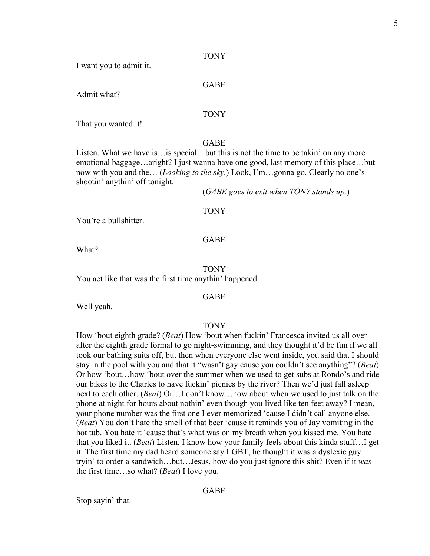TONY

I want you to admit it.

#### GABE

Admit what?

## TONY

That you wanted it!

## GABE

Listen. What we have is…is special…but this is not the time to be takin' on any more emotional baggage…aright? I just wanna have one good, last memory of this place…but now with you and the… (*Looking to the sky.*) Look, I'm…gonna go. Clearly no one's shootin' anythin' off tonight.

(*GABE goes to exit when TONY stands up.*)

#### TONY

You're a bullshitter.

# GABE

What?

## **TONY**

You act like that was the first time anythin' happened.

## GABE

Well yeah.

# **TONY**

How 'bout eighth grade? (*Beat*) How 'bout when fuckin' Francesca invited us all over after the eighth grade formal to go night-swimming, and they thought it'd be fun if we all took our bathing suits off, but then when everyone else went inside, you said that I should stay in the pool with you and that it "wasn't gay cause you couldn't see anything"? (*Beat*) Or how 'bout…how 'bout over the summer when we used to get subs at Rondo's and ride our bikes to the Charles to have fuckin' picnics by the river? Then we'd just fall asleep next to each other. (*Beat*) Or…I don't know…how about when we used to just talk on the phone at night for hours about nothin' even though you lived like ten feet away? I mean, your phone number was the first one I ever memorized 'cause I didn't call anyone else. (*Beat*) You don't hate the smell of that beer 'cause it reminds you of Jay vomiting in the hot tub. You hate it 'cause that's what was on my breath when you kissed me. You hate that you liked it. (*Beat*) Listen, I know how your family feels about this kinda stuff…I get it. The first time my dad heard someone say LGBT, he thought it was a dyslexic guy tryin' to order a sandwich…but…Jesus, how do you just ignore this shit? Even if it *was*  the first time…so what? (*Beat*) I love you.

# GABE

Stop sayin' that.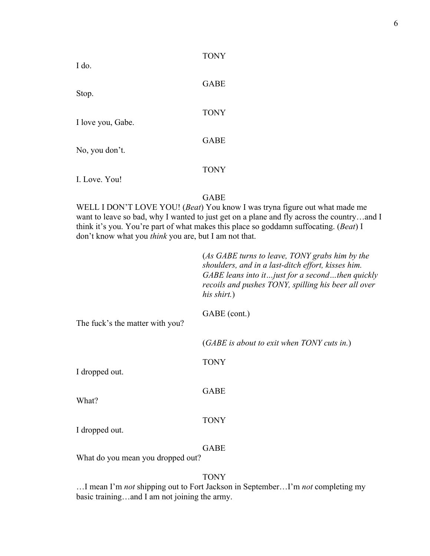| I do.             | TONY        |
|-------------------|-------------|
| Stop.             | <b>GABE</b> |
| I love you, Gabe. | <b>TONY</b> |
| No, you don't.    | <b>GABE</b> |
|                   | <b>TONY</b> |
| I. Love. You!     |             |

# GABE

T<sub>o</sub>ny<sup>x</sup>

WELL I DON'T LOVE YOU! (*Beat*) You know I was tryna figure out what made me want to leave so bad, why I wanted to just get on a plane and fly across the country…and I think it's you. You're part of what makes this place so goddamn suffocating. (*Beat*) I don't know what you *think* you are, but I am not that.

|                                 | (As GABE turns to leave, TONY grabs him by the<br>shoulders, and in a last-ditch effort, kisses him.<br>GABE leans into it just for a second then quickly<br>recoils and pushes TONY, spilling his beer all over<br>his shirt.) |
|---------------------------------|---------------------------------------------------------------------------------------------------------------------------------------------------------------------------------------------------------------------------------|
| The fuck's the matter with you? | GABE (cont.)                                                                                                                                                                                                                    |
|                                 | $(GABE)$ is about to exit when TONY cuts in.)                                                                                                                                                                                   |
| I dropped out.                  | <b>TONY</b>                                                                                                                                                                                                                     |
| What?                           | <b>GABE</b>                                                                                                                                                                                                                     |
| I dropped out.                  | <b>TONY</b>                                                                                                                                                                                                                     |
|                                 | <b>GABE</b>                                                                                                                                                                                                                     |

What do you mean you dropped out?

# TONY

…I mean I'm *not* shipping out to Fort Jackson in September…I'm *not* completing my basic training…and I am not joining the army.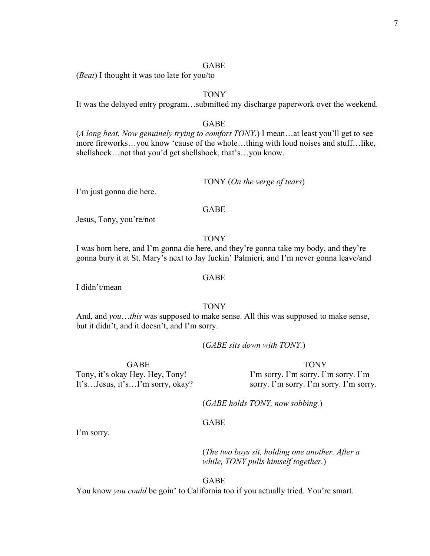## GABE

(*Beat*) I thought it was too late for you/to

# TONY

It was the delayed entry program…submitted my discharge paperwork over the weekend.

## GABE

(*A long beat. Now genuinely trying to comfort TONY.*) I mean…at least you'll get to see more fireworks…you know 'cause of the whole…thing with loud noises and stuff…like, shellshock…not that you'd get shellshock, that's…you know.

## TONY (*On the verge of tears*)

I'm just gonna die here.

## GABE

Jesus, Tony, you're/not

#### TONY

I was born here, and I'm gonna die here, and they're gonna take my body, and they're gonna bury it at St. Mary's next to Jay fuckin' Palmieri, and I'm never gonna leave/and

#### GABE

I didn't/mean

# TONY

And, and *you*…*this* was supposed to make sense. All this was supposed to make sense, but it didn't, and it doesn't, and I'm sorry.

(*GABE sits down with TONY.*)

GABE Tony, it's okay Hey. Hey, Tony! It's…Jesus, it's…I'm sorry, okay?

# **TONY**

I'm sorry. I'm sorry. I'm sorry. I'm sorry. I'm sorry. I'm sorry. I'm sorry.

(*GABE holds TONY, now sobbing.*)

## GABE

I'm sorry.

(*The two boys sit, holding one another. After a while, TONY pulls himself together.*)

## GABE

You know *you could* be goin' to California too if you actually tried. You're smart.